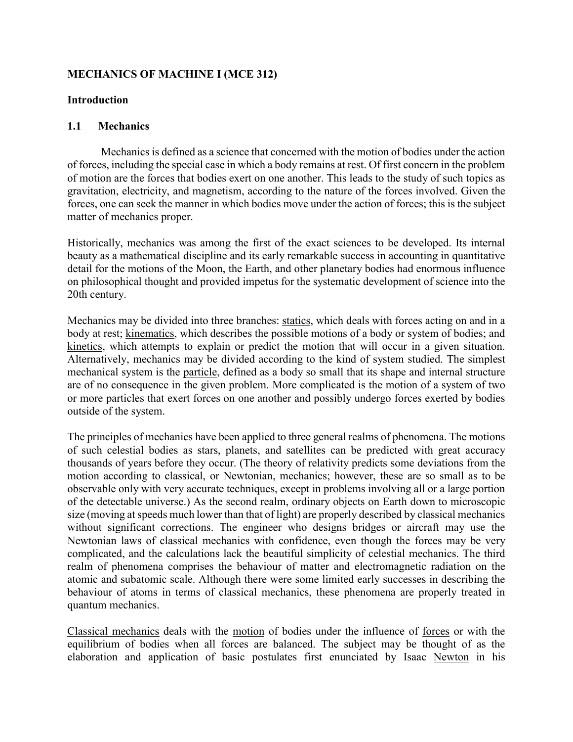# **MECHANICS OF MACHINE I (MCE 312)**

## **Introduction**

## **1.1 Mechanics**

 Mechanics is defined as a science that concerned with the motion of bodies under the action of forces, including the special case in which a body remains at rest. Of first concern in the problem of motion are the forces that bodies exert on one another. This leads to the study of such topics as gravitation, electricity, and magnetism, according to the nature of the forces involved. Given the forces, one can seek the manner in which bodies move under the action of forces; this is the subject matter of mechanics proper.

Historically, mechanics was among the first of the exact sciences to be developed. Its internal beauty as a mathematical discipline and its early remarkable success in accounting in quantitative detail for the motions of the Moon, the Earth, and other planetary bodies had enormous influence on philosophical thought and provided impetus for the systematic development of science into the 20th century.

Mechanics may be divided into three branches: statics, which deals with forces acting on and in a body at rest; kinematics, which describes the possible motions of a body or system of bodies; and kinetics, which attempts to explain or predict the motion that will occur in a given situation. Alternatively, mechanics may be divided according to the kind of system studied. The simplest mechanical system is the particle, defined as a body so small that its shape and internal structure are of no consequence in the given problem. More complicated is the motion of a system of two or more particles that exert forces on one another and possibly undergo forces exerted by bodies outside of the system.

The principles of mechanics have been applied to three general realms of phenomena. The motions of such celestial bodies as stars, planets, and satellites can be predicted with great accuracy thousands of years before they occur. (The theory of relativity predicts some deviations from the motion according to classical, or Newtonian, mechanics; however, these are so small as to be observable only with very accurate techniques, except in problems involving all or a large portion of the detectable universe.) As the second realm, ordinary objects on Earth down to microscopic size (moving at speeds much lower than that of light) are properly described by classical mechanics without significant corrections. The engineer who designs bridges or aircraft may use the Newtonian laws of classical mechanics with confidence, even though the forces may be very complicated, and the calculations lack the beautiful simplicity of celestial mechanics. The third realm of phenomena comprises the behaviour of matter and electromagnetic radiation on the atomic and subatomic scale. Although there were some limited early successes in describing the behaviour of atoms in terms of classical mechanics, these phenomena are properly treated in quantum mechanics.

Classical mechanics deals with the motion of bodies under the influence of forces or with the equilibrium of bodies when all forces are balanced. The subject may be thought of as the elaboration and application of basic postulates first enunciated by Isaac Newton in his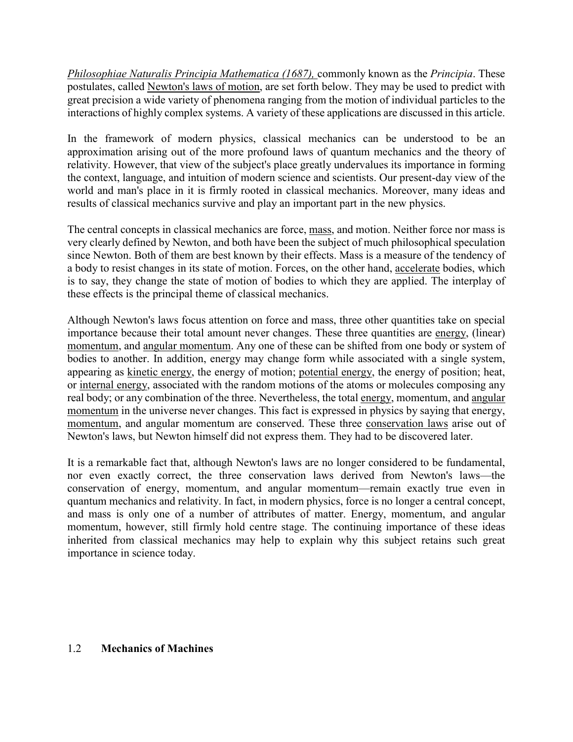*Philosophiae Naturalis Principia Mathematica (1687),* commonly known as the *Principia*. These postulates, called Newton's laws of motion, are set forth below. They may be used to predict with great precision a wide variety of phenomena ranging from the motion of individual particles to the interactions of highly complex systems. A variety of these applications are discussed in this article.

In the framework of modern physics, classical mechanics can be understood to be an approximation arising out of the more profound laws of quantum mechanics and the theory of relativity. However, that view of the subject's place greatly undervalues its importance in forming the context, language, and intuition of modern science and scientists. Our present-day view of the world and man's place in it is firmly rooted in classical mechanics. Moreover, many ideas and results of classical mechanics survive and play an important part in the new physics.

The central concepts in classical mechanics are force, mass, and motion. Neither force nor mass is very clearly defined by Newton, and both have been the subject of much philosophical speculation since Newton. Both of them are best known by their effects. Mass is a measure of the tendency of a body to resist changes in its state of motion. Forces, on the other hand, accelerate bodies, which is to say, they change the state of motion of bodies to which they are applied. The interplay of these effects is the principal theme of classical mechanics.

Although Newton's laws focus attention on force and mass, three other quantities take on special importance because their total amount never changes. These three quantities are energy, (linear) momentum, and angular momentum. Any one of these can be shifted from one body or system of bodies to another. In addition, energy may change form while associated with a single system, appearing as kinetic energy, the energy of motion; potential energy, the energy of position; heat, or internal energy, associated with the random motions of the atoms or molecules composing any real body; or any combination of the three. Nevertheless, the total energy, momentum, and angular momentum in the universe never changes. This fact is expressed in physics by saying that energy, momentum, and angular momentum are conserved. These three conservation laws arise out of Newton's laws, but Newton himself did not express them. They had to be discovered later.

It is a remarkable fact that, although Newton's laws are no longer considered to be fundamental, nor even exactly correct, the three conservation laws derived from Newton's laws—the conservation of energy, momentum, and angular momentum—remain exactly true even in quantum mechanics and relativity. In fact, in modern physics, force is no longer a central concept, and mass is only one of a number of attributes of matter. Energy, momentum, and angular momentum, however, still firmly hold centre stage. The continuing importance of these ideas inherited from classical mechanics may help to explain why this subject retains such great importance in science today.

## 1.2 **Mechanics of Machines**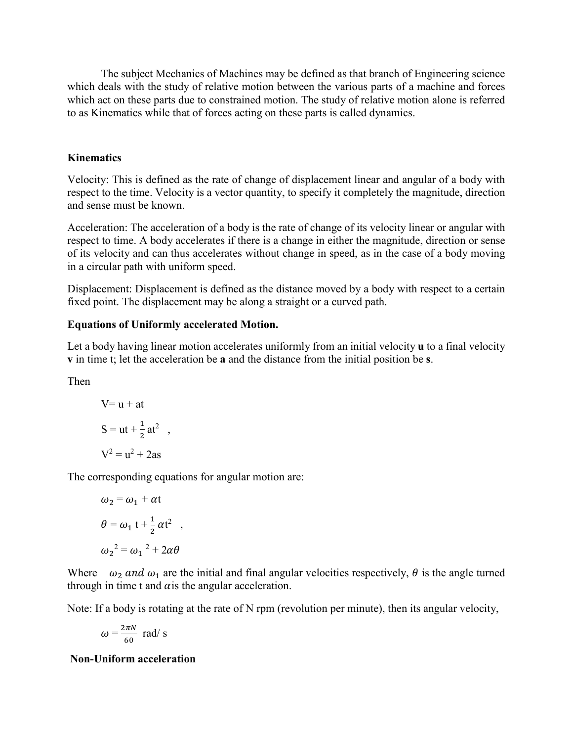The subject Mechanics of Machines may be defined as that branch of Engineering science which deals with the study of relative motion between the various parts of a machine and forces which act on these parts due to constrained motion. The study of relative motion alone is referred to as Kinematics while that of forces acting on these parts is called dynamics.

# **Kinematics**

Velocity: This is defined as the rate of change of displacement linear and angular of a body with respect to the time. Velocity is a vector quantity, to specify it completely the magnitude, direction and sense must be known.

Acceleration: The acceleration of a body is the rate of change of its velocity linear or angular with respect to time. A body accelerates if there is a change in either the magnitude, direction or sense of its velocity and can thus accelerates without change in speed, as in the case of a body moving in a circular path with uniform speed.

Displacement: Displacement is defined as the distance moved by a body with respect to a certain fixed point. The displacement may be along a straight or a curved path.

# **Equations of Uniformly accelerated Motion.**

Let a body having linear motion accelerates uniformly from an initial velocity **u** to a final velocity **v** in time t; let the acceleration be **a** and the distance from the initial position be **s**.

Then

$$
V = u + at
$$
  
\n
$$
S = ut + \frac{1}{2}at^2
$$
,  
\n
$$
V^2 = u^2 + 2as
$$

The corresponding equations for angular motion are:

$$
\omega_2 = \omega_1 + \alpha t
$$
  

$$
\theta = \omega_1 t + \frac{1}{2} \alpha t^2 ,
$$
  

$$
\omega_2^2 = \omega_1^2 + 2\alpha \theta
$$

Where  $\omega_2$  and  $\omega_1$  are the initial and final angular velocities respectively,  $\theta$  is the angle turned through in time t and  $\alpha$  is the angular acceleration.

Note: If a body is rotating at the rate of N rpm (revolution per minute), then its angular velocity,

$$
\omega = \frac{2\pi N}{60} \text{ rad/s}
$$

# **Non-Uniform acceleration**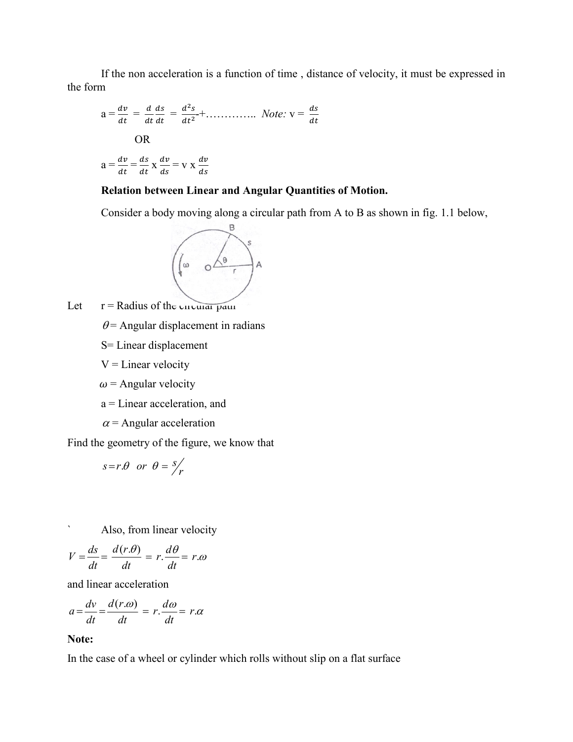If the non acceleration is a function of time , distance of velocity, it must be expressed in the form

$$
a = \frac{dv}{dt} = \frac{d}{dt} \frac{ds}{dt} = \frac{d^2s}{dt^2} + \dots \dots \dots \dots \dots \quad Note: v = \frac{ds}{dt}
$$
  
OR  

$$
a = \frac{dv}{dt} = \frac{ds}{dt} \times \frac{dv}{ds} = v \times \frac{dv}{ds}
$$

# **Relation between Linear and Angular Quantities of Motion.**

Consider a body moving along a circular path from A to B as shown in fig. 1.1 below,



Let  $r =$  Radius of the circular path

 $\theta$  = Angular displacement in radians

S= Linear displacement

 $V =$  Linear velocity

 $\omega$  = Angular velocity

a = Linear acceleration, and

 $\alpha$  = Angular acceleration

Find the geometry of the figure, we know that

$$
s = r.\theta \quad or \quad \theta = s/2
$$

Also, from linear velocity

$$
V = \frac{ds}{dt} = \frac{d(r.\theta)}{dt} = r.\frac{d\theta}{dt} = r.\omega
$$

and linear acceleration

$$
a = \frac{dv}{dt} = \frac{d(r \cdot \omega)}{dt} = r \cdot \frac{d\omega}{dt} = r \cdot \alpha
$$

**Note:**

In the case of a wheel or cylinder which rolls without slip on a flat surface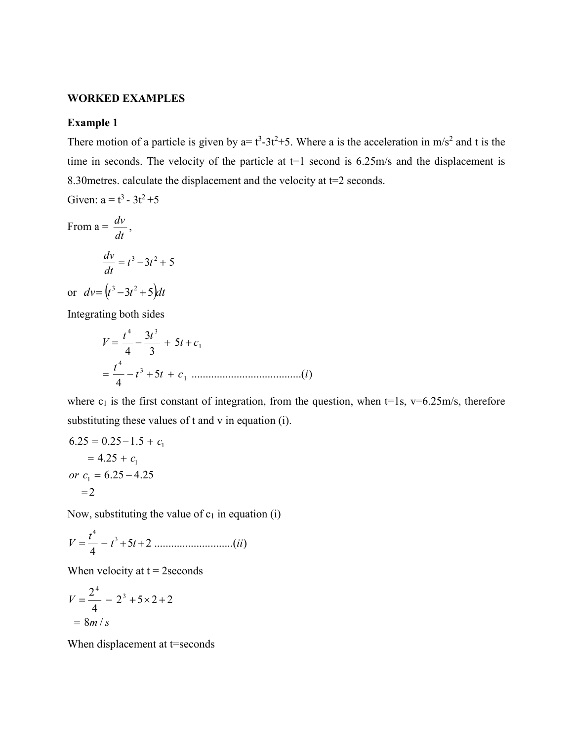### **WORKED EXAMPLES**

#### **Example 1**

There motion of a particle is given by  $a = t^3-3t^2+5$ . Where a is the acceleration in m/s<sup>2</sup> and t is the time in seconds. The velocity of the particle at  $t=1$  second is 6.25m/s and the displacement is 8.30metres. calculate the displacement and the velocity at t=2 seconds.

Given:  $a = t^3 - 3t^2 + 5$ From a = *dt*  $\frac{dv}{dt}$  $= t^3 - 3t^2 + 5$ *dt dv* or  $dv = (t^3 - 3t^2 + 5)dt$ 

Integrating both sides

$$
V = \frac{t^4}{4} - \frac{3t^3}{3} + 5t + c_1
$$
  
=  $\frac{t^4}{4} - t^3 + 5t + c_1$  ....... (i)

where  $c_1$  is the first constant of integration, from the question, when t=1s, v=6.25m/s, therefore substituting these values of t and v in equation (i).

$$
6.25 = 0.25 - 1.5 + c_1
$$
  
= 4.25 + c<sub>1</sub>  
or c<sub>1</sub> = 6.25 - 4.25  
= 2

Now, substituting the value of  $c_1$  in equation (i)

<sup>5</sup> <sup>2</sup> ............................( ) <sup>4</sup> 3 4 *<sup>t</sup> <sup>t</sup> ii <sup>t</sup> <sup>V</sup>*

When velocity at  $t = 2$  seconds

$$
V = \frac{2^4}{4} - 2^3 + 5 \times 2 + 2
$$
  
= 8m/s

When displacement at t=seconds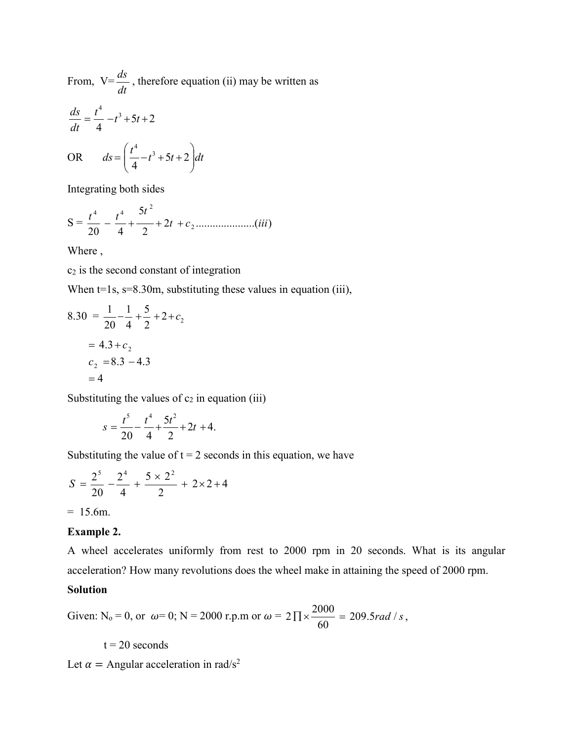From, V= *dt*  $\frac{ds}{dt}$ , therefore equation (ii) may be written as

$$
\frac{ds}{dt} = \frac{t^4}{4} - t^3 + 5t + 2
$$
  
OR 
$$
ds = \left(\frac{t^4}{4} - t^3 + 5t + 2\right)dt
$$

Integrating both sides

S = <sup>2</sup> .....................( ) <sup>2</sup> 5 20 4 <sup>2</sup> 2 4 4 *t c iii <sup>t</sup> <sup>t</sup> <sup>t</sup>*

Where ,

 $c<sub>2</sub>$  is the second constant of integration

When  $t=1s$ ,  $s=8.30m$ , substituting these values in equation (iii),

$$
8.30 = \frac{1}{20} - \frac{1}{4} + \frac{5}{2} + 2 + c_2
$$
  
= 4.3 + c<sub>2</sub>  
c<sub>2</sub> = 8.3 - 4.3  
= 4

Substituting the values of  $c_2$  in equation (iii)

$$
s = \frac{t^5}{20} - \frac{t^4}{4} + \frac{5t^2}{2} + 2t + 4.
$$

Substituting the value of  $t = 2$  seconds in this equation, we have

$$
S = \frac{2^5}{20} - \frac{2^4}{4} + \frac{5 \times 2^2}{2} + 2 \times 2 + 4
$$

 $= 15.6m$ .

#### **Example 2.**

A wheel accelerates uniformly from rest to 2000 rpm in 20 seconds. What is its angular acceleration? How many revolutions does the wheel make in attaining the speed of 2000 rpm.

## **Solution**

Given: N<sub>o</sub> = 0, or 
$$
\omega
$$
= 0; N = 2000 r.p.m or  $\omega$  = 2 $\Pi \times \frac{2000}{60}$  = 209.5 rad/s,

 $t = 20$  seconds

Let  $\alpha$  = Angular acceleration in rad/s<sup>2</sup>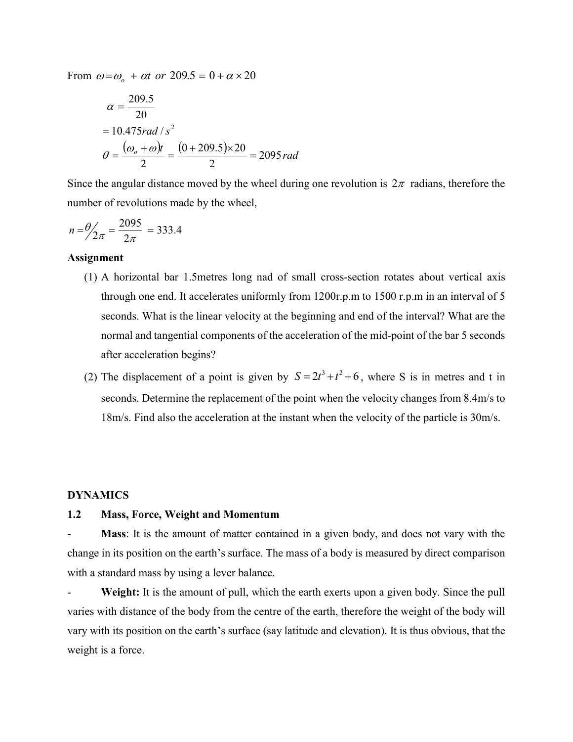From  $\omega = \omega_0 + \alpha t$  or  $209.5 = 0 + \alpha \times 20$ 

$$
\alpha = \frac{209.5}{20}
$$
  
= 10.475 rad/s<sup>2</sup>  

$$
\theta = \frac{(\omega_o + \omega)t}{2} = \frac{(0 + 209.5) \times 20}{2} = 2095 rad
$$

Since the angular distance moved by the wheel during one revolution is  $2\pi$  radians, therefore the number of revolutions made by the wheel,

$$
n = \frac{\theta}{2\pi} = \frac{2095}{2\pi} = 333.4
$$

### **Assignment**

- (1) A horizontal bar 1.5metres long nad of small cross-section rotates about vertical axis through one end. It accelerates uniformly from 1200r.p.m to 1500 r.p.m in an interval of 5 seconds. What is the linear velocity at the beginning and end of the interval? What are the normal and tangential components of the acceleration of the mid-point of the bar 5 seconds after acceleration begins?
- (2) The displacement of a point is given by  $S = 2t^3 + t^2 + 6$ , where S is in metres and t in seconds. Determine the replacement of the point when the velocity changes from 8.4m/s to 18m/s. Find also the acceleration at the instant when the velocity of the particle is 30m/s.

#### **DYNAMICS**

#### **1.2 Mass, Force, Weight and Momentum**

Mass: It is the amount of matter contained in a given body, and does not vary with the change in its position on the earth's surface. The mass of a body is measured by direct comparison with a standard mass by using a lever balance.

Weight: It is the amount of pull, which the earth exerts upon a given body. Since the pull varies with distance of the body from the centre of the earth, therefore the weight of the body will vary with its position on the earth's surface (say latitude and elevation). It is thus obvious, that the weight is a force.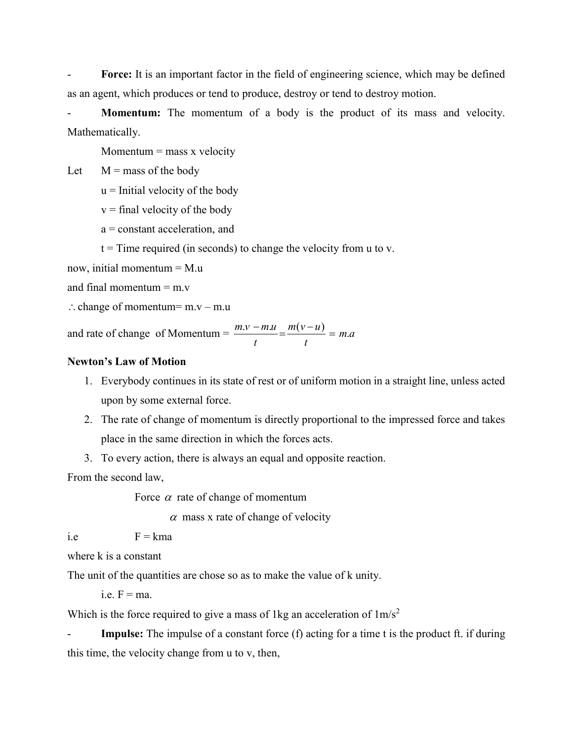**Force:** It is an important factor in the field of engineering science, which may be defined as an agent, which produces or tend to produce, destroy or tend to destroy motion.

**Momentum:** The momentum of a body is the product of its mass and velocity. Mathematically.

 $Momentum = mass x velocity$ 

Let  $M =$  mass of the body

 $u =$  Initial velocity of the body

 $v =$  final velocity of the body

a = constant acceleration, and

 $t =$ Time required (in seconds) to change the velocity from u to v.

now, initial momentum = M.u

and final momentum  $=$  m.v

 $\therefore$  change of momentum= m.v – m.u

and rate of change of Momentum =  $\frac{m_1 v - m_2 a}{2} = \frac{m_1 v - a_2}{2} = m_2 a$ *t*  $m(v-u)$ *t*  $\frac{m.v - m.u}{m.v - u} = \frac{m(v - u)}{m} = m.$ 

## **Newton's Law of Motion**

- 1. Everybody continues in its state of rest or of uniform motion in a straight line, unless acted upon by some external force.
- 2. The rate of change of momentum is directly proportional to the impressed force and takes place in the same direction in which the forces acts.
- 3. To every action, there is always an equal and opposite reaction.

From the second law,

Force  $\alpha$  rate of change of momentum

 $\alpha$  mass x rate of change of velocity

i.e  $F = kma$ 

where k is a constant

The unit of the quantities are chose so as to make the value of k unity.

i.e.  $F = ma$ .

Which is the force required to give a mass of 1kg an acceleration of  $1 \text{m/s}^2$ 

**Impulse:** The impulse of a constant force (f) acting for a time t is the product ft. if during this time, the velocity change from u to v, then,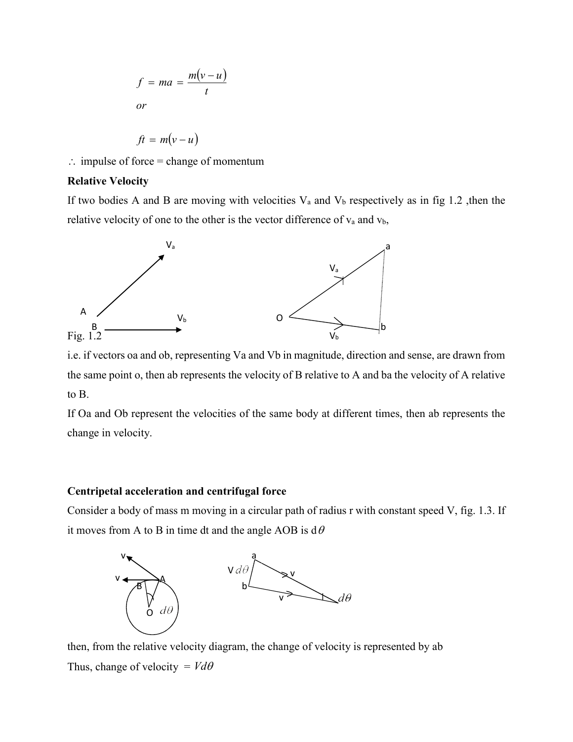$$
f = ma = \frac{m(v - u)}{t}
$$

*or*

$$
ft = m(v - u)
$$

 $\therefore$  impulse of force = change of momentum

## **Relative Velocity**

If two bodies A and B are moving with velocities  $V_a$  and  $V_b$  respectively as in fig 1.2, then the relative velocity of one to the other is the vector difference of  $v_a$  and  $v_b$ ,



i.e. if vectors oa and ob, representing Va and Vb in magnitude, direction and sense, are drawn from the same point o, then ab represents the velocity of B relative to A and ba the velocity of A relative to B.

If Oa and Ob represent the velocities of the same body at different times, then ab represents the change in velocity.

### **Centripetal acceleration and centrifugal force**

Consider a body of mass m moving in a circular path of radius r with constant speed V, fig. 1.3. If it moves from A to B in time dt and the angle AOB is  $d\theta$ 



then, from the relative velocity diagram, the change of velocity is represented by ab Thus, change of velocity =  $V d\theta$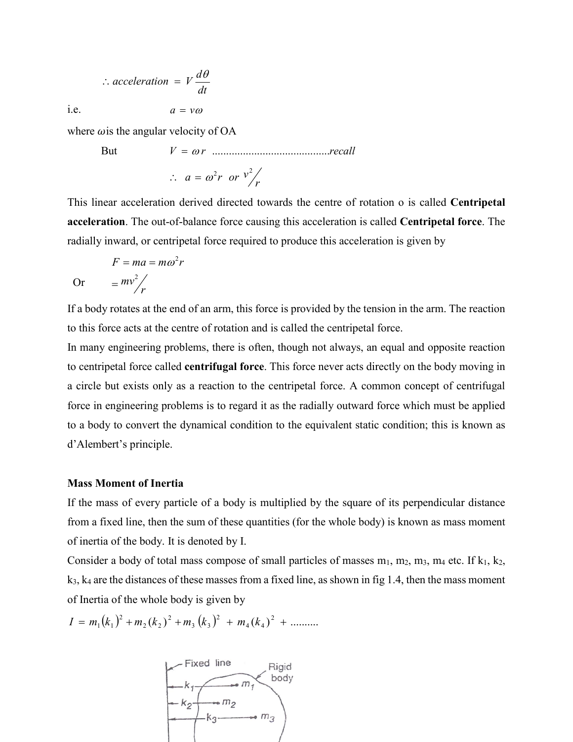$$
\therefore acceleration = V \frac{d\theta}{dt}
$$

i.e.  $a = v\omega$ 

where  $\omega$  is the angular velocity of OA

But *V r* ..........................................*recall*

Or

 $\therefore$   $a = \omega^2 r$  or  $v^2/r$ 

This linear acceleration derived directed towards the centre of rotation o is called **Centripetal acceleration**. The out-of-balance force causing this acceleration is called **Centripetal force**. The radially inward, or centripetal force required to produce this acceleration is given by

$$
F = ma = m\omega^2 r
$$

$$
= m v^2 / r
$$

If a body rotates at the end of an arm, this force is provided by the tension in the arm. The reaction to this force acts at the centre of rotation and is called the centripetal force.

In many engineering problems, there is often, though not always, an equal and opposite reaction to centripetal force called **centrifugal force**. This force never acts directly on the body moving in a circle but exists only as a reaction to the centripetal force. A common concept of centrifugal force in engineering problems is to regard it as the radially outward force which must be applied to a body to convert the dynamical condition to the equivalent static condition; this is known as d'Alembert's principle.

#### **Mass Moment of Inertia**

If the mass of every particle of a body is multiplied by the square of its perpendicular distance from a fixed line, then the sum of these quantities (for the whole body) is known as mass moment of inertia of the body. It is denoted by I.

Consider a body of total mass compose of small particles of masses  $m_1$ ,  $m_2$ ,  $m_3$ ,  $m_4$  etc. If  $k_1$ ,  $k_2$ , k3, k4 are the distances of these masses from a fixed line, as shown in fig 1.4, then the mass moment of Inertia of the whole body is given by

$$
I = m_1(k_1)^2 + m_2(k_2)^2 + m_3(k_3)^2 + m_4(k_4)^2 + \dots
$$

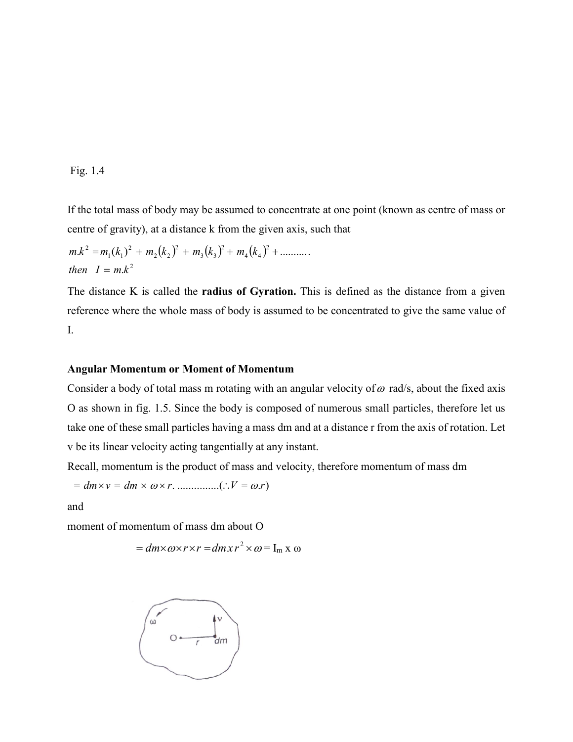#### Fig. 1.4

If the total mass of body may be assumed to concentrate at one point (known as centre of mass or centre of gravity), at a distance k from the given axis, such that

$$
m.k2 = m1(k1)2 + m2(k2)2 + m3(k3)2 + m4(k4)2 + .........
$$
  
then  $I = m.k2$ 

The distance K is called the **radius of Gyration.** This is defined as the distance from a given reference where the whole mass of body is assumed to be concentrated to give the same value of I.

#### **Angular Momentum or Moment of Momentum**

Consider a body of total mass m rotating with an angular velocity of  $\omega$  rad/s, about the fixed axis O as shown in fig. 1.5. Since the body is composed of numerous small particles, therefore let us take one of these small particles having a mass dm and at a distance r from the axis of rotation. Let v be its linear velocity acting tangentially at any instant.

Recall, momentum is the product of mass and velocity, therefore momentum of mass dm

*dmv dm r*. ...............(*V* .*r*)

and

moment of momentum of mass dm about O

$$
= dm \times \omega \times r \times r = dm \times r^2 \times \omega = I_m \times \omega
$$

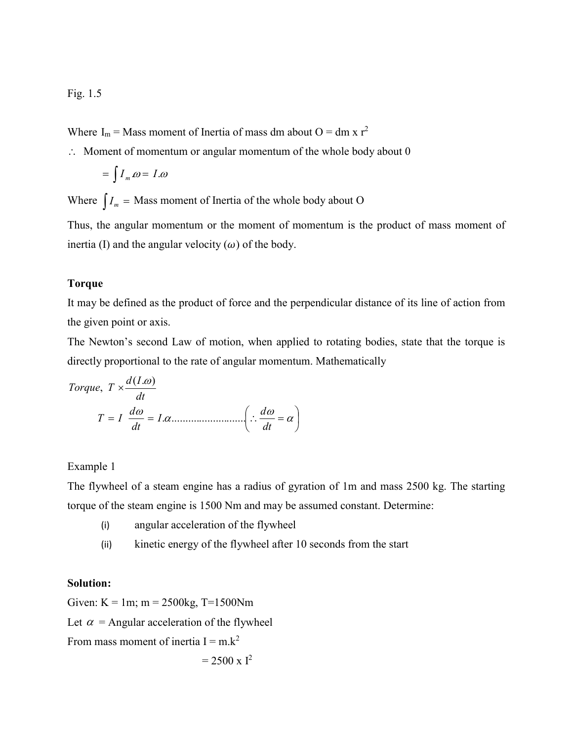## Fig. 1.5

Where  $I_m$  = Mass moment of Inertia of mass dm about  $O = dm \times r^2$ 

 $\therefore$  Moment of momentum or angular momentum of the whole body about 0

$$
= \int I_m \omega = I \omega
$$

Where  $\int I_m$  = Mass moment of Inertia of the whole body about O

Thus, the angular momentum or the moment of momentum is the product of mass moment of inertia (I) and the angular velocity  $(\omega)$  of the body.

# **Torque**

It may be defined as the product of force and the perpendicular distance of its line of action from the given point or axis.

The Newton's second Law of motion, when applied to rotating bodies, state that the torque is directly proportional to the rate of angular momentum. Mathematically

 *dt <sup>d</sup> <sup>I</sup> dt <sup>d</sup> <sup>T</sup> <sup>I</sup> dt <sup>d</sup> <sup>I</sup> Torque <sup>T</sup>* . ........................... ( . ) ,

### Example 1

The flywheel of a steam engine has a radius of gyration of 1m and mass 2500 kg. The starting torque of the steam engine is 1500 Nm and may be assumed constant. Determine:

- (i) angular acceleration of the flywheel
- (ii) kinetic energy of the flywheel after 10 seconds from the start

## **Solution:**

Given:  $K = 1m$ ;  $m = 2500kg$ , T=1500Nm Let  $\alpha$  = Angular acceleration of the flywheel From mass moment of inertia  $I = m.k^2$  $= 2500 \times I^2$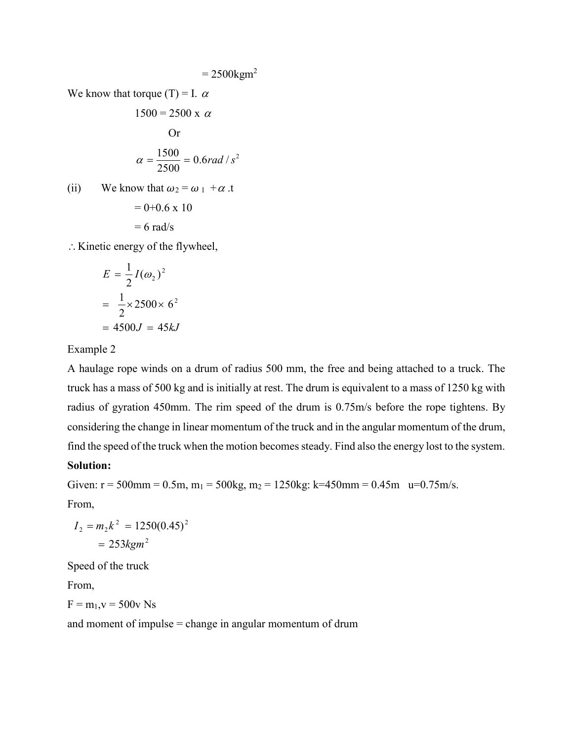$= 2500$ kgm<sup>2</sup> We know that torque (T) = I.  $\alpha$  $1500 = 2500 \text{ x } \alpha$ Or  $0.6$ rad /  $s^2$ 2500  $\alpha = \frac{1500}{2500} = 0.6$ rad / s (ii) We know that  $\omega_2 = \omega_1 + \alpha$ .t  $= 0+0.6 \times 10$  $= 6$  rad/s

 $\therefore$  Kinetic energy of the flywheel,

$$
E = \frac{1}{2}I(\omega_2)^2
$$

$$
= \frac{1}{2} \times 2500 \times 6^2
$$

$$
= 4500J = 45kJ
$$

### Example 2

A haulage rope winds on a drum of radius 500 mm, the free and being attached to a truck. The truck has a mass of 500 kg and is initially at rest. The drum is equivalent to a mass of 1250 kg with radius of gyration 450mm. The rim speed of the drum is 0.75m/s before the rope tightens. By considering the change in linear momentum of the truck and in the angular momentum of the drum, find the speed of the truck when the motion becomes steady. Find also the energy lost to the system.

# **Solution:**

```
Given: r = 500mm = 0.5m, m_1 = 500kg, m_2 = 1250kg: k=450mm = 0.45m u=0.75m/s.
```
From,

$$
I_2 = m_2 k^2 = 1250(0.45)^2
$$
  
= 253kgm<sup>2</sup>

Speed of the truck

From,

 $F = m_1 v = 500v$  Ns

and moment of impulse = change in angular momentum of drum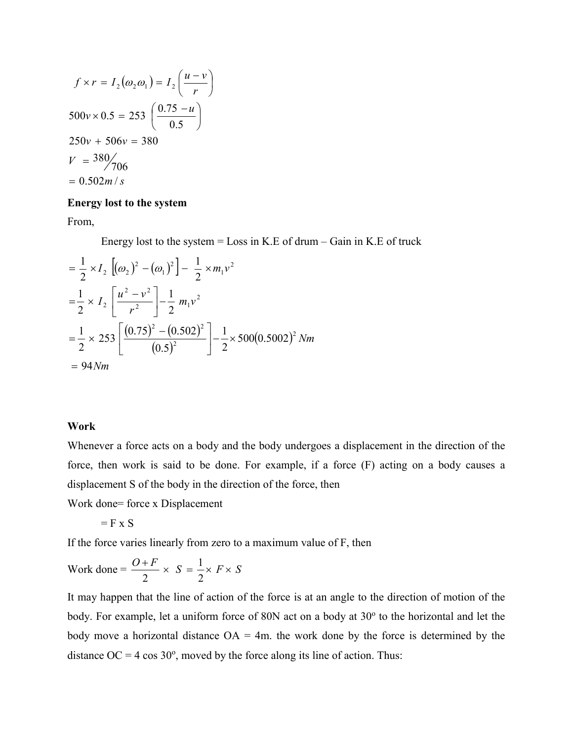$$
f \times r = I_2(\omega_2 \omega_1) = I_2\left(\frac{u - v}{r}\right)
$$
  
\n
$$
500v \times 0.5 = 253 \left(\frac{0.75 - u}{0.5}\right)
$$
  
\n
$$
250v + 506v = 380
$$
  
\n
$$
V = \frac{380}{706}
$$
  
\n
$$
= 0.502m/s
$$

### **Energy lost to the system**

From,

Energy lost to the system  $=$  Loss in K.E of drum  $-$  Gain in K.E of truck

$$
= \frac{1}{2} \times I_2 \left[ (\omega_2)^2 - (\omega_1)^2 \right] - \frac{1}{2} \times m_1 v^2
$$
  
\n
$$
= \frac{1}{2} \times I_2 \left[ \frac{u^2 - v^2}{r^2} \right] - \frac{1}{2} m_1 v^2
$$
  
\n
$$
= \frac{1}{2} \times 253 \left[ \frac{(0.75)^2 - (0.502)^2}{(0.5)^2} \right] - \frac{1}{2} \times 500(0.5002)^2 Nm
$$
  
\n= 94Nm

 $\overline{\phantom{a}}$  $\bigg)$ 

#### **Work**

Whenever a force acts on a body and the body undergoes a displacement in the direction of the force, then work is said to be done. For example, if a force (F) acting on a body causes a displacement S of the body in the direction of the force, then

Work done= force x Displacement

$$
= F \times S
$$

If the force varies linearly from zero to a maximum value of F, then

Work done = 
$$
\frac{O + F}{2} \times S = \frac{1}{2} \times F \times S
$$

It may happen that the line of action of the force is at an angle to the direction of motion of the body. For example, let a uniform force of 80N act on a body at 30° to the horizontal and let the body move a horizontal distance  $OA = 4m$ . the work done by the force is determined by the distance  $OC = 4 \cos 30^\circ$ , moved by the force along its line of action. Thus: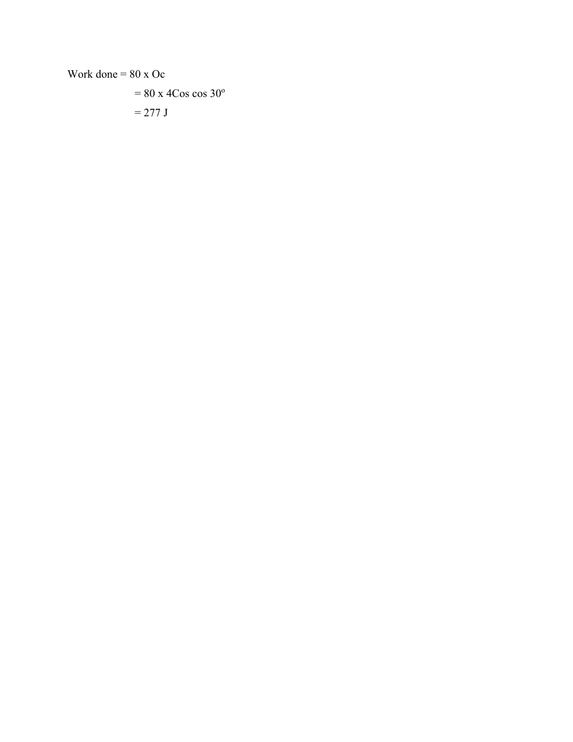# Work done  $= 80 \times Oc$

 $= 80$  x 4Cos cos 30<sup>o</sup>  $= 277$  J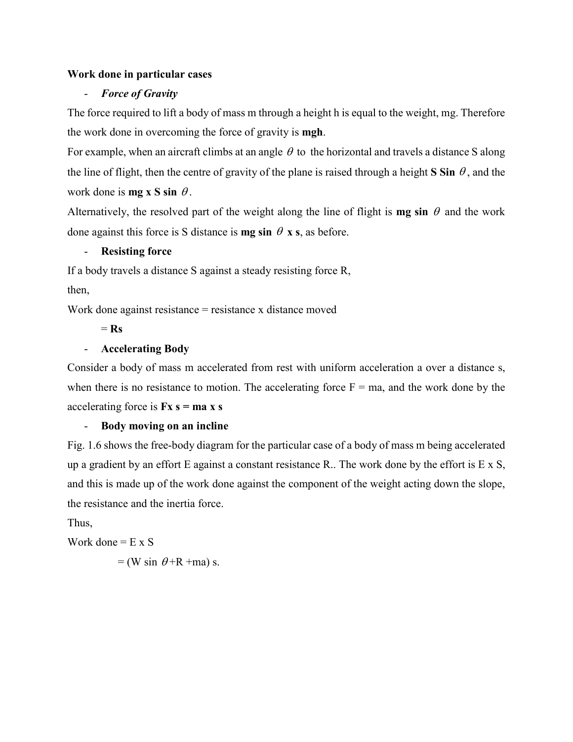## **Work done in particular cases**

# - *Force of Gravity*

The force required to lift a body of mass m through a height h is equal to the weight, mg. Therefore the work done in overcoming the force of gravity is **mgh**.

For example, when an aircraft climbs at an angle  $\theta$  to the horizontal and travels a distance S along the line of flight, then the centre of gravity of the plane is raised through a height **S** Sin  $\theta$ , and the work done is **mg** x S sin  $\theta$ .

Alternatively, the resolved part of the weight along the line of flight is **mg** sin  $\theta$  and the work done against this force is S distance is **mg** sin  $\theta$  x s, as before.

## - **Resisting force**

If a body travels a distance S against a steady resisting force R, then,

Work done against resistance  $=$  resistance x distance moved

# $=$ **Rs**

# - **Accelerating Body**

Consider a body of mass m accelerated from rest with uniform acceleration a over a distance s, when there is no resistance to motion. The accelerating force  $F = ma$ , and the work done by the accelerating force is  $Fx s = ma x s$ 

# - **Body moving on an incline**

Fig. 1.6 shows the free-body diagram for the particular case of a body of mass m being accelerated up a gradient by an effort E against a constant resistance R.. The work done by the effort is  $E \times S$ , and this is made up of the work done against the component of the weight acting down the slope, the resistance and the inertia force.

Thus,

Work done  $= E \times S$ 

 $=(W \sin \theta + R + ma) s.$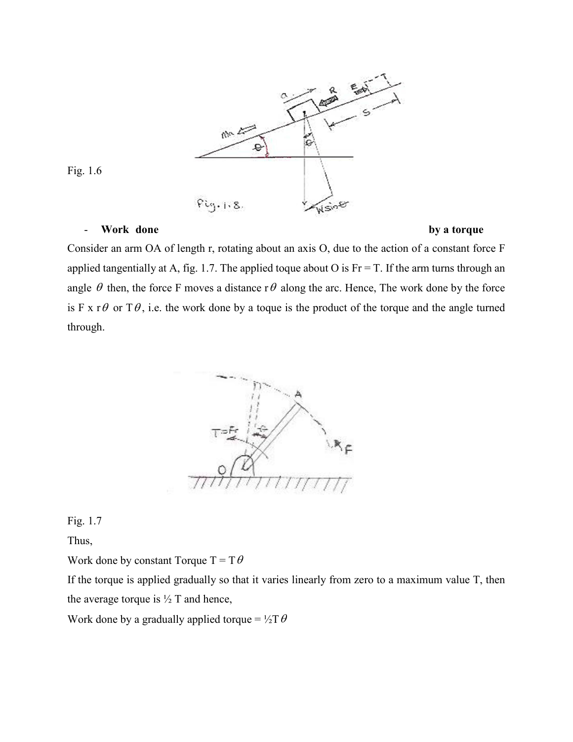



## - Work done **by a torque**

Consider an arm OA of length r, rotating about an axis O, due to the action of a constant force F applied tangentially at A, fig. 1.7. The applied toque about O is  $Fr = T$ . If the arm turns through an angle  $\theta$  then, the force F moves a distance r  $\theta$  along the arc. Hence, The work done by the force is F x r $\theta$  or T $\theta$ , i.e. the work done by a toque is the product of the torque and the angle turned through.



Fig. 1.7

Thus,

Work done by constant Torque  $T = T \theta$ 

If the torque is applied gradually so that it varies linearly from zero to a maximum value T, then the average torque is  $\frac{1}{2}$  T and hence,

Work done by a gradually applied torque =  $\frac{1}{2}T\theta$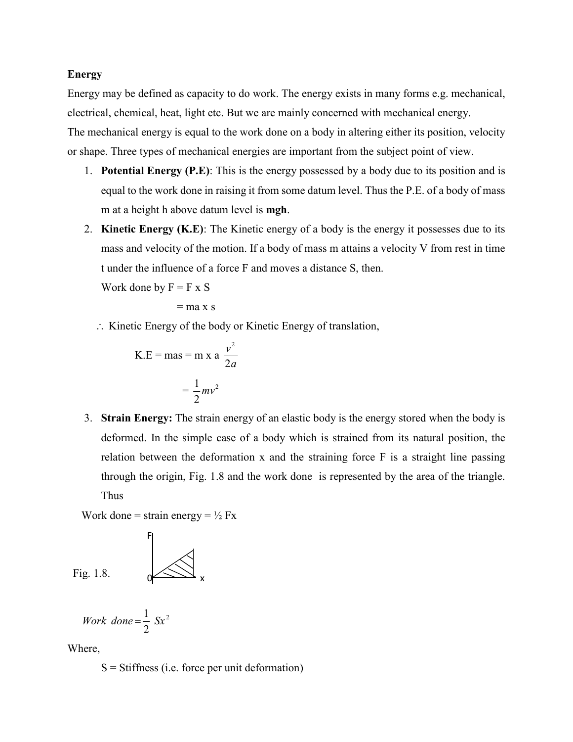## **Energy**

Energy may be defined as capacity to do work. The energy exists in many forms e.g. mechanical, electrical, chemical, heat, light etc. But we are mainly concerned with mechanical energy.

The mechanical energy is equal to the work done on a body in altering either its position, velocity or shape. Three types of mechanical energies are important from the subject point of view.

- 1. **Potential Energy (P.E)**: This is the energy possessed by a body due to its position and is equal to the work done in raising it from some datum level. Thus the P.E. of a body of mass m at a height h above datum level is **mgh**.
- 2. **Kinetic Energy (K.E)**: The Kinetic energy of a body is the energy it possesses due to its mass and velocity of the motion. If a body of mass m attains a velocity V from rest in time t under the influence of a force F and moves a distance S, then.

Work done by  $F = F x S$ 

$$
= ma x s
$$

 $\therefore$  Kinetic Energy of the body or Kinetic Energy of translation,

$$
K.E = mas = m x a \frac{v^2}{2a}
$$

$$
= \frac{1}{2}mv^2
$$

3. **Strain Energy:** The strain energy of an elastic body is the energy stored when the body is deformed. In the simple case of a body which is strained from its natural position, the relation between the deformation x and the straining force F is a straight line passing through the origin, Fig. 1.8 and the work done is represented by the area of the triangle. Thus

Work done = strain energy =  $\frac{1}{2}$  Fx

Fig. 1.8.

$$
\left\lfloor\bigotimes\limits_{x}^{F}\right\rfloor
$$

*Work done* = 
$$
\frac{1}{2}
$$
 Sx<sup>2</sup>

Where,

 $S = Stiffness$  (i.e. force per unit deformation)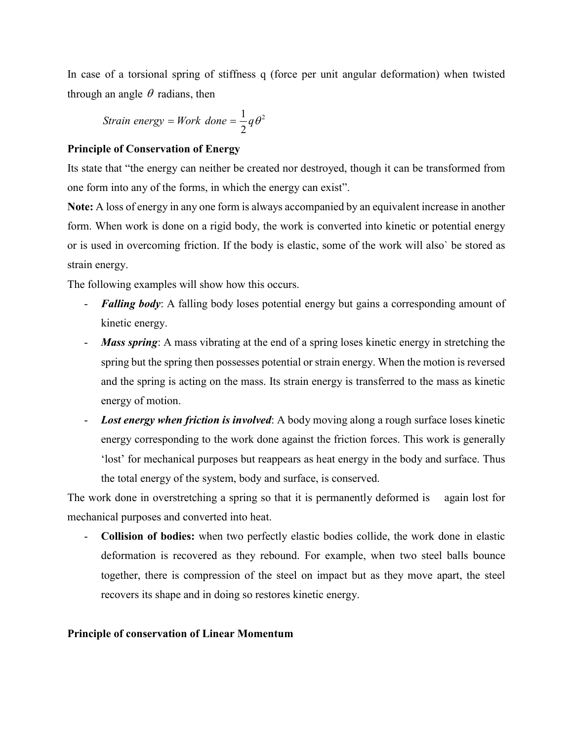In case of a torsional spring of stiffness q (force per unit angular deformation) when twisted through an angle  $\theta$  radians, then

Strain energy = Work done = 
$$
\frac{1}{2}q\theta^2
$$

## **Principle of Conservation of Energy**

Its state that "the energy can neither be created nor destroyed, though it can be transformed from one form into any of the forms, in which the energy can exist".

**Note:** A loss of energy in any one form is always accompanied by an equivalent increase in another form. When work is done on a rigid body, the work is converted into kinetic or potential energy or is used in overcoming friction. If the body is elastic, some of the work will also` be stored as strain energy.

The following examples will show how this occurs.

- *Falling body*: A falling body loses potential energy but gains a corresponding amount of kinetic energy.
- *Mass spring*: A mass vibrating at the end of a spring loses kinetic energy in stretching the spring but the spring then possesses potential or strain energy. When the motion is reversed and the spring is acting on the mass. Its strain energy is transferred to the mass as kinetic energy of motion.
- *Lost energy when friction is involved*: A body moving along a rough surface loses kinetic energy corresponding to the work done against the friction forces. This work is generally 'lost' for mechanical purposes but reappears as heat energy in the body and surface. Thus the total energy of the system, body and surface, is conserved.

The work done in overstretching a spring so that it is permanently deformed is again lost for mechanical purposes and converted into heat.

- **Collision of bodies:** when two perfectly elastic bodies collide, the work done in elastic deformation is recovered as they rebound. For example, when two steel balls bounce together, there is compression of the steel on impact but as they move apart, the steel recovers its shape and in doing so restores kinetic energy.

#### **Principle of conservation of Linear Momentum**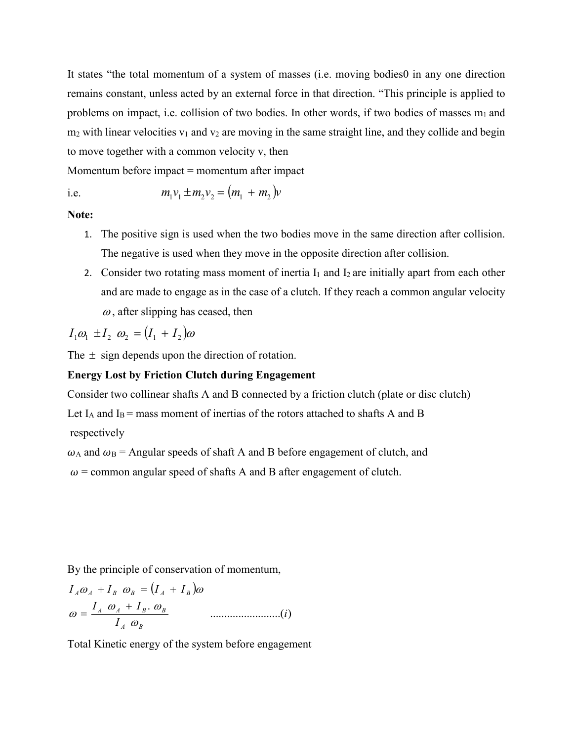It states "the total momentum of a system of masses (i.e. moving bodies0 in any one direction remains constant, unless acted by an external force in that direction. "This principle is applied to problems on impact, i.e. collision of two bodies. In other words, if two bodies of masses m<sub>1</sub> and  $m_2$  with linear velocities  $v_1$  and  $v_2$  are moving in the same straight line, and they collide and begin to move together with a common velocity v, then

Momentum before impact = momentum after impact

i.e. 
$$
m_1v_1 \pm m_2v_2 = (m_1 + m_2)v
$$

**Note:**

- 1. The positive sign is used when the two bodies move in the same direction after collision. The negative is used when they move in the opposite direction after collision.
- 2. Consider two rotating mass moment of inertia  $I_1$  and  $I_2$  are initially apart from each other and are made to engage as in the case of a clutch. If they reach a common angular velocity  $\omega$ , after slipping has ceased, then

$$
I_1\omega_1 \pm I_2 \omega_2 = (I_1 + I_2)\omega
$$

The  $\pm$  sign depends upon the direction of rotation.

# **Energy Lost by Friction Clutch during Engagement**

Consider two collinear shafts A and B connected by a friction clutch (plate or disc clutch)

Let  $I_A$  and  $I_B$  = mass moment of inertias of the rotors attached to shafts A and B respectively

 $\omega_A$  and  $\omega_B$  = Angular speeds of shaft A and B before engagement of clutch, and

 $\omega$  = common angular speed of shafts A and B after engagement of clutch.

By the principle of conservation of momentum,

 .........................( ) . *<sup>i</sup> I I I I I I I A B A A B B A A B B A B* 

Total Kinetic energy of the system before engagement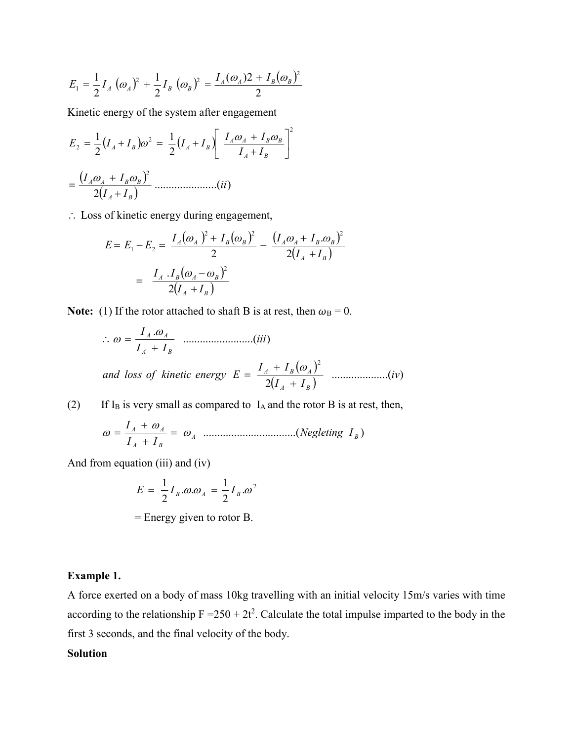$$
E_1 = \frac{1}{2} I_A (\omega_A)^2 + \frac{1}{2} I_B (\omega_B)^2 = \frac{I_A (\omega_A) 2 + I_B (\omega_B)^2}{2}
$$

Kinetic energy of the system after engagement

$$
E_2 = \frac{1}{2} (I_A + I_B) \omega^2 = \frac{1}{2} (I_A + I_B) \left[ \frac{I_A \omega_A + I_B \omega_B}{I_A + I_B} \right]^2
$$
  
=  $\frac{(I_A \omega_A + I_B \omega_B)^2}{2(I_A + I_B)}$  ....... (ii)

 $\therefore$  Loss of kinetic energy during engagement,

$$
E = E_1 - E_2 = \frac{I_A(\omega_A)^2 + I_B(\omega_B)^2}{2} - \frac{(I_A\omega_A + I_B.\omega_B)^2}{2(I_A + I_B)}
$$
  
= 
$$
\frac{I_A \cdot I_B(\omega_A - \omega_B)^2}{2(I_A + I_B)}
$$

**Note:** (1) If the rotor attached to shaft B is at rest, then  $\omega_B = 0$ .

$$
\therefore \omega = \frac{I_A \cdot \omega_A}{I_A + I_B}
$$
 ....... (iii)  
and loss of kinetic energy  $E = \frac{I_A + I_B(\omega_A)^2}{2(I_A + I_B)}$  ....... (iv)

(2) If I<sub>B</sub> is very small as compared to  $I_A$  and the rotor B is at rest, then,

$$
\omega = \frac{I_A + \omega_A}{I_A + I_B} = \omega_A
$$
 ....... (Negleting  $I_B$ )

And from equation (iii) and (iv)

$$
E = \frac{1}{2}I_B \cdot \omega \cdot \omega_A = \frac{1}{2}I_B \cdot \omega^2
$$

= Energy given to rotor B.

# **Example 1.**

A force exerted on a body of mass 10kg travelling with an initial velocity 15m/s varies with time according to the relationship  $F = 250 + 2t^2$ . Calculate the total impulse imparted to the body in the first 3 seconds, and the final velocity of the body.

## **Solution**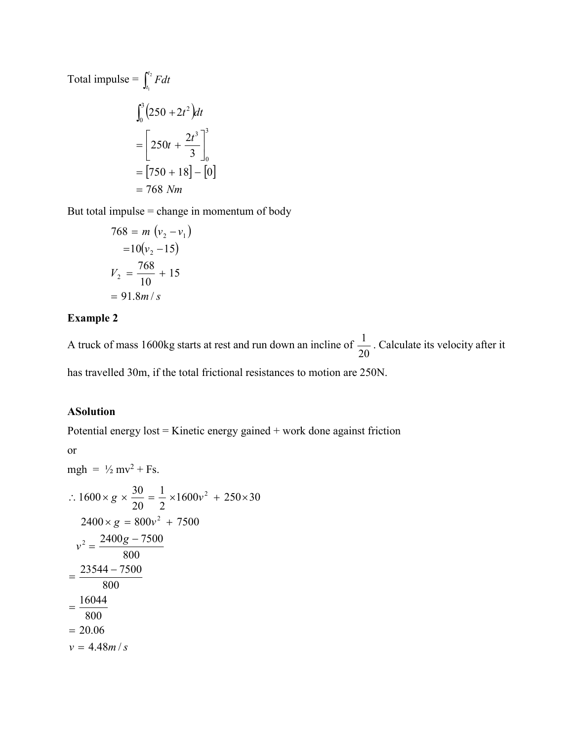Total impulse = 
$$
\int_{t_1}^{t_2} Fdt
$$
  
\n
$$
\int_0^3 (250 + 2t^2) dt
$$
\n
$$
= \left[ 250t + \frac{2t^3}{3} \right]_0^3
$$
\n
$$
= [750 + 18] - [0]
$$
\n
$$
= 768 \text{ Nm}
$$

But total impulse = change in momentum of body

$$
768 = m (v2 - v1)
$$
  
=10(v<sub>2</sub> -15)  

$$
V2 = \frac{768}{10} + 15
$$
  
= 91.8m/s

# **Example 2**

A truck of mass 1600kg starts at rest and run down an incline of  $\frac{1}{20}$ . Calculate its velocity after it has travelled 30m, if the total frictional resistances to motion are 250N.

# **ASolution**

Potential energy lost = Kinetic energy gained  $+$  work done against friction

or  
\n
$$
mgh = \frac{1}{2}mv^2 + Fs.
$$
\n
$$
\therefore 1600 \times g \times \frac{30}{20} = \frac{1}{2} \times 1600v^2 + 250 \times 30
$$
\n
$$
2400 \times g = 800v^2 + 7500
$$
\n
$$
v^2 = \frac{2400g - 7500}{800}
$$
\n
$$
= \frac{23544 - 7500}{800}
$$
\n
$$
= \frac{16044}{800}
$$
\n= 20.06  
\n
$$
v = 4.48m/s
$$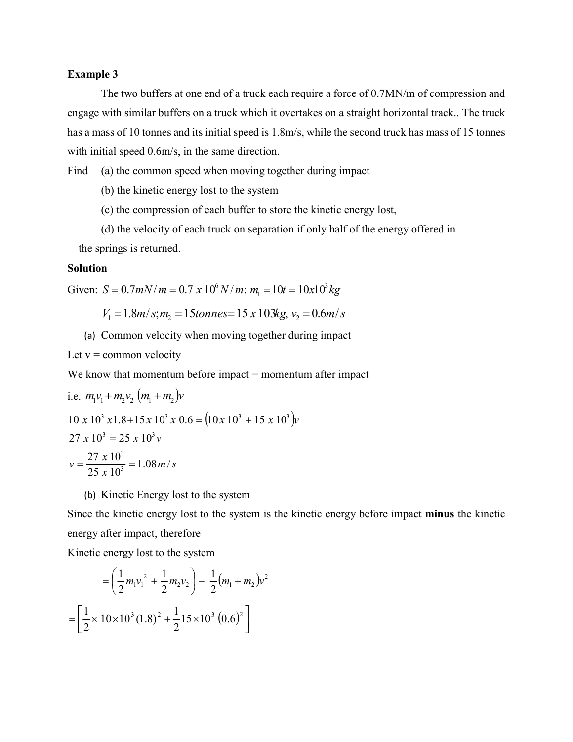### **Example 3**

The two buffers at one end of a truck each require a force of 0.7MN/m of compression and engage with similar buffers on a truck which it overtakes on a straight horizontal track.. The truck has a mass of 10 tonnes and its initial speed is 1.8m/s, while the second truck has mass of 15 tonnes with initial speed 0.6m/s, in the same direction.

Find (a) the common speed when moving together during impact

(b) the kinetic energy lost to the system

- (c) the compression of each buffer to store the kinetic energy lost,
- (d) the velocity of each truck on separation if only half of the energy offered in the springs is returned.

### **Solution**

Given:  $S = 0.7$   $mN/m = 0.7$   $x \frac{10^6 N}{m}$ ;  $m_1 = 10t = 10x10^3 kg$ 

$$
V_1 = 1.8m/s
$$
;  $m_2 = 15tonnes = 15 \times 103kg$ ,  $v_2 = 0.6m/s$ 

(a) Common velocity when moving together during impact

Let  $v =$  common velocity

We know that momentum before impact = momentum after impact

i.e. 
$$
m_1v_1 + m_2v_2 (m_1 + m_2)v
$$
  
\n10 x 10<sup>3</sup> x1.8+15 x 10<sup>3</sup> x 0.6 =  $(10x 10^3 + 15x 10^3)v$   
\n27 x 10<sup>3</sup> = 25 x 10<sup>3</sup> v  
\n $v = \frac{27 x 10^3}{25 x 10^3} = 1.08 m/s$ 

(b) Kinetic Energy lost to the system

Since the kinetic energy lost to the system is the kinetic energy before impact **minus** the kinetic energy after impact, therefore

Kinetic energy lost to the system

$$
= \left(\frac{1}{2}m_1v_1^2 + \frac{1}{2}m_2v_2\right) - \frac{1}{2}(m_1 + m_2)v^2
$$

$$
= \left[\frac{1}{2} \times 10 \times 10^3 (1.8)^2 + \frac{1}{2}15 \times 10^3 (0.6)^2\right]
$$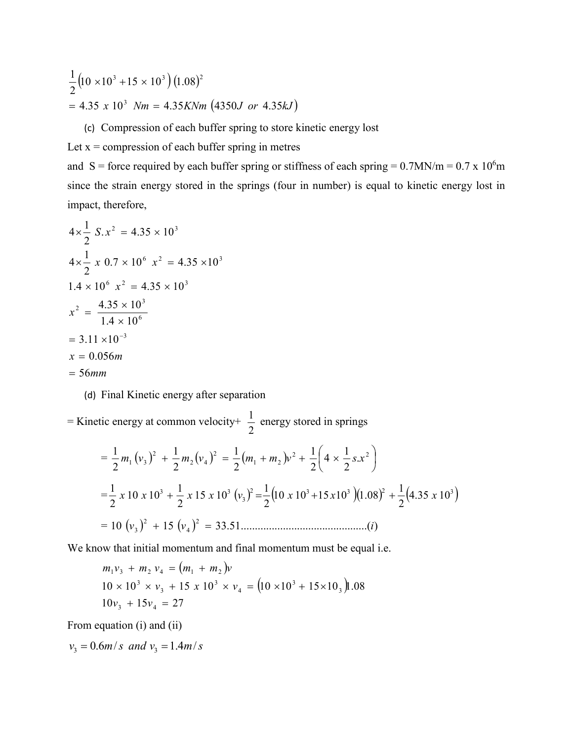$$
\frac{1}{2} (10 \times 10^3 + 15 \times 10^3) (1.08)^2
$$
  
= 4.35 x 10<sup>3</sup> Nm = 4.35KNm (4350J or 4.35kJ)

(c) Compression of each buffer spring to store kinetic energy lost

Let  $x =$  compression of each buffer spring in metres

and S = force required by each buffer spring or stiffness of each spring =  $0.7$ MN/m =  $0.7 \times 10^6$ m since the strain energy stored in the springs (four in number) is equal to kinetic energy lost in impact, therefore,

$$
4 \times \frac{1}{2} S.x^{2} = 4.35 \times 10^{3}
$$
  
\n
$$
4 \times \frac{1}{2} x 0.7 \times 10^{6} x^{2} = 4.35 \times 10^{3}
$$
  
\n
$$
1.4 \times 10^{6} x^{2} = 4.35 \times 10^{3}
$$
  
\n
$$
x^{2} = \frac{4.35 \times 10^{3}}{1.4 \times 10^{6}}
$$
  
\n
$$
= 3.11 \times 10^{-3}
$$
  
\n
$$
x = 0.056m
$$
  
\n
$$
= 56mm
$$

(d) Final Kinetic energy after separation

= Kinetic energy at common velocity+  $\frac{1}{2}$  energy stored in springs  $=\frac{1}{2}m_1(v_3)^2+\frac{1}{2}m_2(v_4)^2=\frac{1}{2}(m_1+m_2)v^2+\frac{1}{2}\left(4\times\frac{1}{2}s.x^2\right)$  $\bigg)$  $\left(4 \times \frac{1}{2} s x^2\right)$  $\setminus$  $+\frac{1}{2}m_2(v_4)^2 = \frac{1}{2}(m_1 + m_2)v^2 + \frac{1}{2}\left(4 \times \frac{1}{2}s.x^2\right)$ 2  $2V4$  $\frac{1}{2}(v_3)^2 + \frac{1}{2}m_2(v_4)^2 = \frac{1}{2}(m_1 + m_2)v^2 + \frac{1}{2}\left(4 \times \frac{1}{2}s\right).$ 2 1 2 1 2 1 2  $\frac{1}{2}m_1(v_3)^2 + \frac{1}{2}m_2(v_4)^2 = \frac{1}{2}(m_1 + m_2)v^2 + \frac{1}{2}\left(4 \times \frac{1}{2} s.x\right)$  $=\frac{1}{2}x10 \; x10^{3} + \frac{1}{2}x15 \; x10^{3} (v_{3})^{2} = \frac{1}{2}(10 \; x10^{3} + 15 \; x10^{3}) (1.08)^{2} + \frac{1}{2}(4.35 \; x10^{3})$ 2  $\left(10 \times 10^3 + 15 \times 10^3\right) \left(1.08\right)^2 + \frac{1}{2}$ 2  $15 \times 10^{3} (v_3)^2 = \frac{1}{2}$ 2  $10 x 10^3 + \frac{1}{2}$ 2  $\frac{1}{2}$  x 10 x 10<sup>3</sup> +  $\frac{1}{2}$  x 15 x 10<sup>3</sup> (v<sub>3</sub>)<sup>2</sup> =  $\frac{1}{2}$ (10 x 10<sup>3</sup> + 15 x 10<sup>3</sup>)(1.08)<sup>2</sup> +  $\frac{1}{2}$ (4.35 x = 10 15 33.51.............................................( ) <sup>2</sup> 4 2 <sup>3</sup> *v v i*

We know that initial momentum and final momentum must be equal *i.e.* 

$$
m_1v_3 + m_2v_4 = (m_1 + m_2)v
$$
  
10 × 10<sup>3</sup> × v<sub>3</sub> + 15 x 10<sup>3</sup> × v<sub>4</sub> = (10 × 10<sup>3</sup> + 15 × 10<sub>3</sub>)1.08  
10v<sub>3</sub> + 15v<sub>4</sub> = 27

From equation (i) and (ii)

 $v_3 = 0.6$ *m*/*s and*  $v_3 = 1.4$ *m*/*s*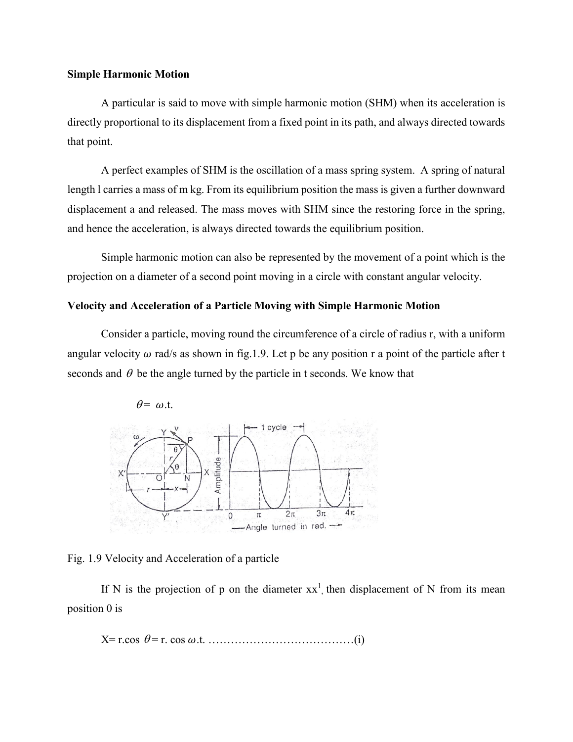### **Simple Harmonic Motion**

A particular is said to move with simple harmonic motion (SHM) when its acceleration is directly proportional to its displacement from a fixed point in its path, and always directed towards that point.

A perfect examples of SHM is the oscillation of a mass spring system. A spring of natural length l carries a mass of m kg. From its equilibrium position the mass is given a further downward displacement a and released. The mass moves with SHM since the restoring force in the spring, and hence the acceleration, is always directed towards the equilibrium position.

Simple harmonic motion can also be represented by the movement of a point which is the projection on a diameter of a second point moving in a circle with constant angular velocity.

## **Velocity and Acceleration of a Particle Moving with Simple Harmonic Motion**

Consider a particle, moving round the circumference of a circle of radius r, with a uniform angular velocity  $\omega$  rad/s as shown in fig.1.9. Let p be any position r a point of the particle after t seconds and  $\theta$  be the angle turned by the particle in t seconds. We know that





Fig. 1.9 Velocity and Acceleration of a particle

If N is the projection of p on the diameter  $xx^1$ , then displacement of N from its mean position 0 is

 $X = r \cos \theta = r \cos \omega \cdot t \dots \dots \dots \dots \dots \dots \dots \dots \dots (i)$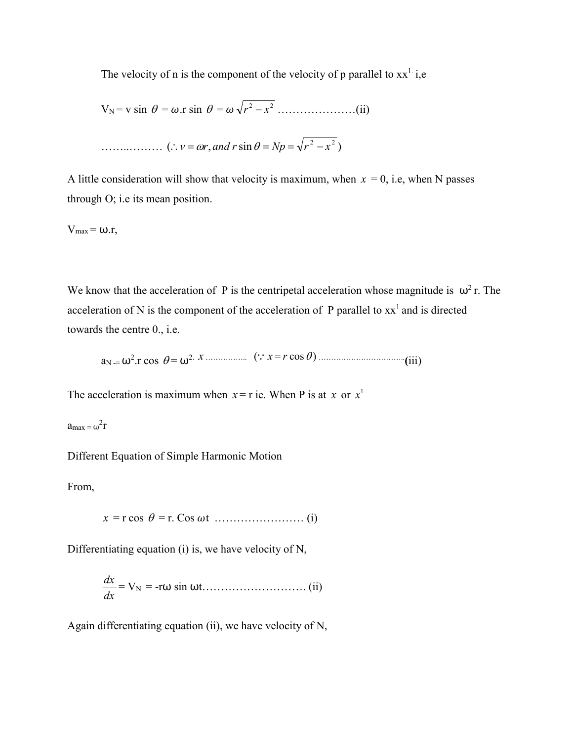The velocity of n is the component of the velocity of p parallel to  $xx^1$  i,e

VN = v sin = .r sin = <sup>2</sup> <sup>2</sup> *r x* …………………(ii) ……..……… ( , sin ) <sup>2</sup> <sup>2</sup> *v r and r Np r x*

A little consideration will show that velocity is maximum, when  $x = 0$ , i.e, when N passes through O; i.e its mean position.

 $V_{max} = \omega.r,$ 

We know that the acceleration of P is the centripetal acceleration whose magnitude is  $\omega^2 r$ . The acceleration of N is the component of the acceleration of P parallel to  $xx<sup>1</sup>$  and is directed towards the centre 0., i.e.

aN -= ω<sup>2</sup> .r cos = ω2. *x* …………….. ( *<sup>x</sup> <sup>r</sup>* cos ) ……………………………..**(**iii)

The acceleration is maximum when  $x = r$  ie. When P is at *x* or  $x<sup>1</sup>$ 

$$
a_{max}=\omega^2 r \,
$$

Different Equation of Simple Harmonic Motion

From,

*x* = r cos = r. Cos t …………………… (i)

Differentiating equation (i) is, we have velocity of N,

$$
\frac{dx}{dx} = V_N = -r\omega \sin \omega t \dots \dots \dots \dots \dots \dots \dots \text{(ii)}
$$

Again differentiating equation (ii), we have velocity of N,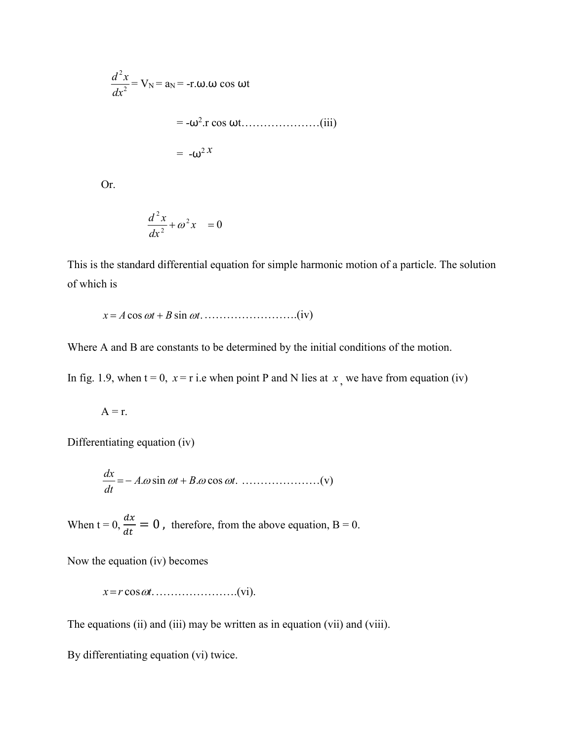2 2 *dx <sup>d</sup> <sup>x</sup>* = VN = aN = -r.ω.<sup>ω</sup> cos ω<sup>t</sup> = -ω<sup>2</sup> .r cos ωt…………………(iii) = -ω<sup>2</sup> *x*

Or.

$$
\frac{d^2x}{dx^2} + \omega^2 x = 0
$$

This is the standard differential equation for simple harmonic motion of a particle. The solution of which is

 $x = A \cos \omega t + B \sin \omega t$ . …………………………(iv)

Where A and B are constants to be determined by the initial conditions of the motion.

In fig. 1.9, when  $t = 0$ ,  $x = r$  i.e when point P and N lies at  $x<sub>1</sub>$ , we have from equation (iv)

$$
A = r.
$$

Differentiating equation (iv)

*<sup>A</sup>*. sin *<sup>t</sup> <sup>B</sup>*. cos *<sup>t</sup>*. *dt dx* …………………(v)

When  $t = 0$ ,  $\frac{dx}{dt} = 0$ , therefore, from the above equation,  $B = 0$ .

Now the equation (iv) becomes

*x r* cos*t*.………………….(vi).

The equations (ii) and (iii) may be written as in equation (vii) and (viii).

By differentiating equation (vi) twice.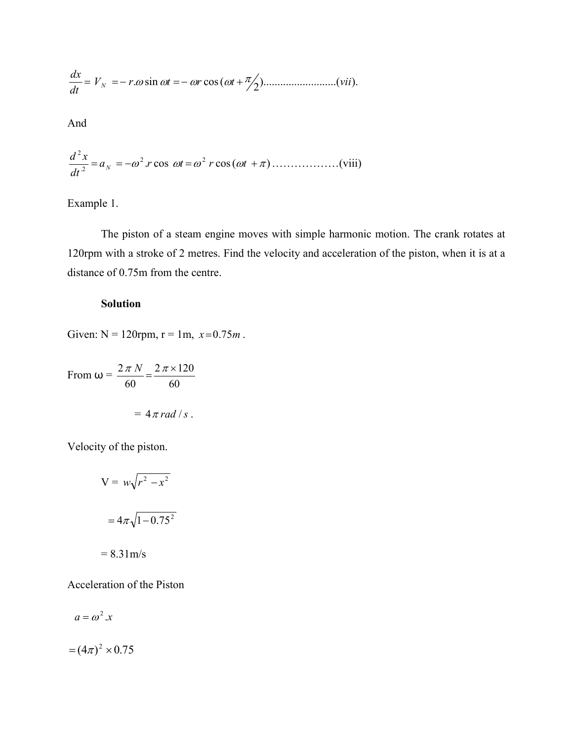)..........................( ). <sup>2</sup> *<sup>V</sup> <sup>r</sup>*. sin *<sup>t</sup> <sup>r</sup>* cos( *<sup>t</sup> vii dt dx <sup>N</sup>*

And

. cos cos( ) <sup>2</sup> <sup>2</sup> .2 2 *a r t r t dt d x <sup>N</sup>* ………………(viii)

Example 1.

The piston of a steam engine moves with simple harmonic motion. The crank rotates at 120rpm with a stroke of 2 metres. Find the velocity and acceleration of the piston, when it is at a distance of 0.75m from the centre.

#### **Solution**

Given:  $N = 120$ rpm,  $r = 1m$ ,  $x=0.75m$ .

From 
$$
\omega = \frac{2 \pi N}{60} = \frac{2 \pi \times 120}{60}
$$
  
=  $4 \pi$  rad/s.

Velocity of the piston.

$$
V = w\sqrt{r^2 - x^2}
$$

$$
= 4\pi\sqrt{1 - 0.75^2}
$$

 $= 8.31 \text{m/s}$ 

Acceleration of the Piston

 $a = \omega^2.x$ 

 $=(4\pi )^2 \times 0.75$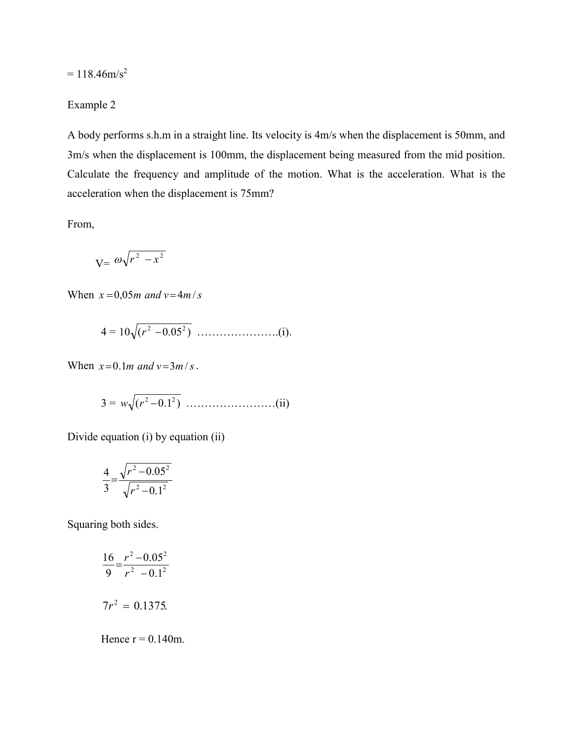$= 118.46$ m/s<sup>2</sup>

## Example 2

A body performs s.h.m in a straight line. Its velocity is 4m/s when the displacement is 50mm, and 3m/s when the displacement is 100mm, the displacement being measured from the mid position. Calculate the frequency and amplitude of the motion. What is the acceleration. What is the acceleration when the displacement is 75mm?

From,

$$
V = \omega \sqrt{r^2 - x^2}
$$

When  $x = 0.05m$  *and*  $v = 4m/s$ 

$$
4 = 10\sqrt{(r^2 - 0.05^2)} \dots \dots \dots \dots \dots \dots (i).
$$

When  $x=0.1m$  and  $v=3m/s$ .

3 = ( 0.1 ) <sup>2</sup> <sup>2</sup> *w r* ……………………(ii)

Divide equation (i) by equation (ii)

$$
\frac{4}{3} = \frac{\sqrt{r^2 - 0.05^2}}{\sqrt{r^2 - 0.1^2}}
$$

Squaring both sides.

$$
\frac{16}{9} = \frac{r^2 - 0.05^2}{r^2 - 0.1^2}
$$

$$
7r^2 = 0.1375.
$$

Hence  $r = 0.140$ m.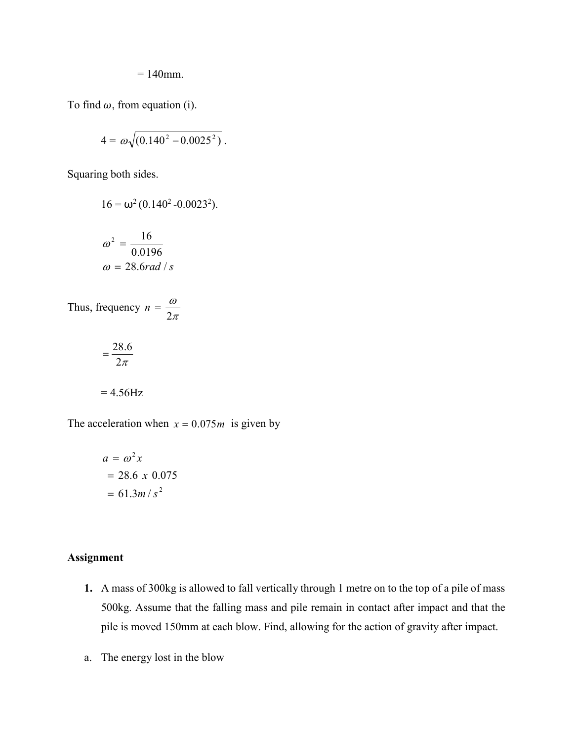$$
= 140 \text{mm}.
$$

To find  $\omega$ , from equation (i).

$$
4 = \omega \sqrt{(0.140^2 - 0.0025^2)}.
$$

Squaring both sides.

$$
16 = \omega^2 (0.140^2 - 0.0023^2).
$$
  
\n
$$
\omega^2 = \frac{16}{0.0196}
$$
  
\n
$$
\omega = 28.6 \text{ rad/s}
$$

Thus, frequency  $n = \frac{\omega}{2\pi}$  $\omega$ 2 *n*

$$
=\frac{28.6}{2\pi}
$$

$$
=4.56
$$
Hz

The acceleration when  $x = 0.075m$  is given by

$$
a = \omega^2 x
$$
  
= 28.6 x 0.075  
= 61.3m/s<sup>2</sup>

# **Assignment**

- **1.** A mass of 300kg is allowed to fall vertically through 1 metre on to the top of a pile of mass 500kg. Assume that the falling mass and pile remain in contact after impact and that the pile is moved 150mm at each blow. Find, allowing for the action of gravity after impact.
- a. The energy lost in the blow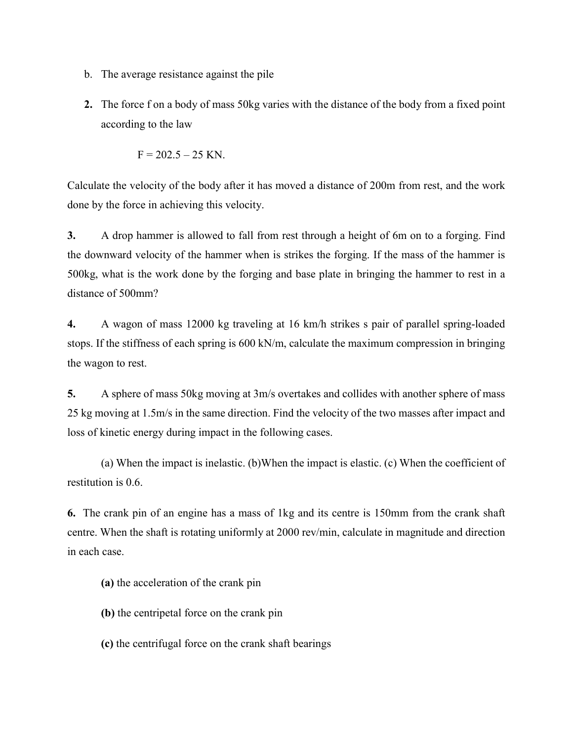- b. The average resistance against the pile
- **2.** The force f on a body of mass 50kg varies with the distance of the body from a fixed point according to the law

$$
F = 202.5 - 25
$$
 KN.

Calculate the velocity of the body after it has moved a distance of 200m from rest, and the work done by the force in achieving this velocity.

**3.** A drop hammer is allowed to fall from rest through a height of 6m on to a forging. Find the downward velocity of the hammer when is strikes the forging. If the mass of the hammer is 500kg, what is the work done by the forging and base plate in bringing the hammer to rest in a distance of 500mm?

**4.** A wagon of mass 12000 kg traveling at 16 km/h strikes s pair of parallel spring-loaded stops. If the stiffness of each spring is 600 kN/m, calculate the maximum compression in bringing the wagon to rest.

**5.** A sphere of mass 50kg moving at 3m/s overtakes and collides with another sphere of mass 25 kg moving at 1.5m/s in the same direction. Find the velocity of the two masses after impact and loss of kinetic energy during impact in the following cases.

(a) When the impact is inelastic. (b)When the impact is elastic. (c) When the coefficient of restitution is 0.6.

**6.** The crank pin of an engine has a mass of 1kg and its centre is 150mm from the crank shaft centre. When the shaft is rotating uniformly at 2000 rev/min, calculate in magnitude and direction in each case.

- **(a)** the acceleration of the crank pin
- **(b)** the centripetal force on the crank pin
- **(c)** the centrifugal force on the crank shaft bearings